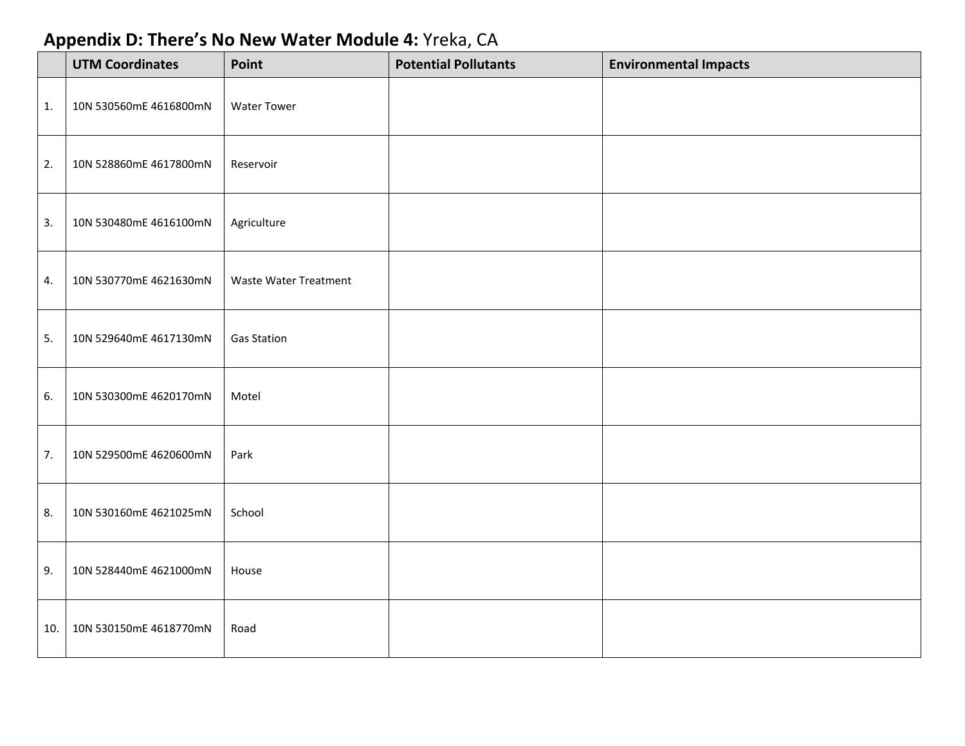## **Appendix D: There's No New Water Module 4:** Yreka, CA

|     | <b>UTM Coordinates</b> | Point                        | <b>Potential Pollutants</b> | <b>Environmental Impacts</b> |
|-----|------------------------|------------------------------|-----------------------------|------------------------------|
| 1.  | 10N 530560mE 4616800mN | <b>Water Tower</b>           |                             |                              |
| 2.  | 10N 528860mE 4617800mN | Reservoir                    |                             |                              |
| 3.  | 10N 530480mE 4616100mN | Agriculture                  |                             |                              |
| 4.  | 10N 530770mE 4621630mN | <b>Waste Water Treatment</b> |                             |                              |
| 5.  | 10N 529640mE 4617130mN | <b>Gas Station</b>           |                             |                              |
| 6.  | 10N 530300mE 4620170mN | Motel                        |                             |                              |
| 7.  | 10N 529500mE 4620600mN | Park                         |                             |                              |
| 8.  | 10N 530160mE 4621025mN | School                       |                             |                              |
| 9.  | 10N 528440mE 4621000mN | House                        |                             |                              |
| 10. | 10N 530150mE 4618770mN | Road                         |                             |                              |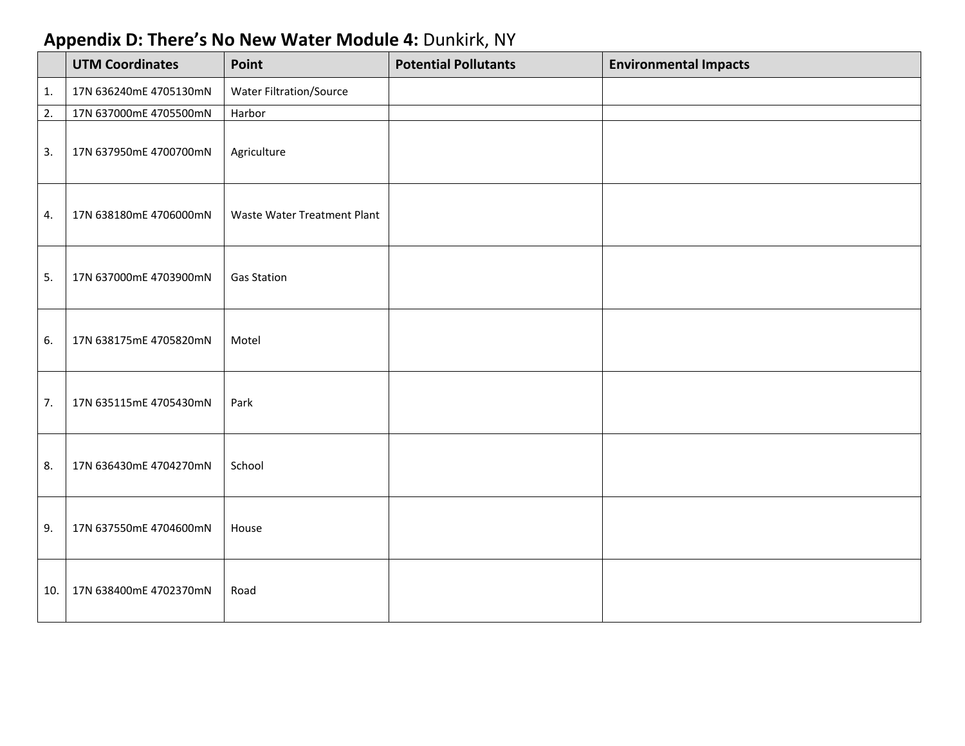## **Appendix D: There's No New Water Module 4:** Dunkirk, NY

|     | <b>UTM Coordinates</b> | Point                       | <b>Potential Pollutants</b> | <b>Environmental Impacts</b> |
|-----|------------------------|-----------------------------|-----------------------------|------------------------------|
| 1.  | 17N 636240mE 4705130mN | Water Filtration/Source     |                             |                              |
| 2.  | 17N 637000mE 4705500mN | Harbor                      |                             |                              |
| 3.  | 17N 637950mE 4700700mN | Agriculture                 |                             |                              |
| 4.  | 17N 638180mE 4706000mN | Waste Water Treatment Plant |                             |                              |
| 5.  | 17N 637000mE 4703900mN | <b>Gas Station</b>          |                             |                              |
| 6.  | 17N 638175mE 4705820mN | Motel                       |                             |                              |
| 7.  | 17N 635115mE 4705430mN | Park                        |                             |                              |
| 8.  | 17N 636430mE 4704270mN | School                      |                             |                              |
| 9.  | 17N 637550mE 4704600mN | House                       |                             |                              |
| 10. | 17N 638400mE 4702370mN | Road                        |                             |                              |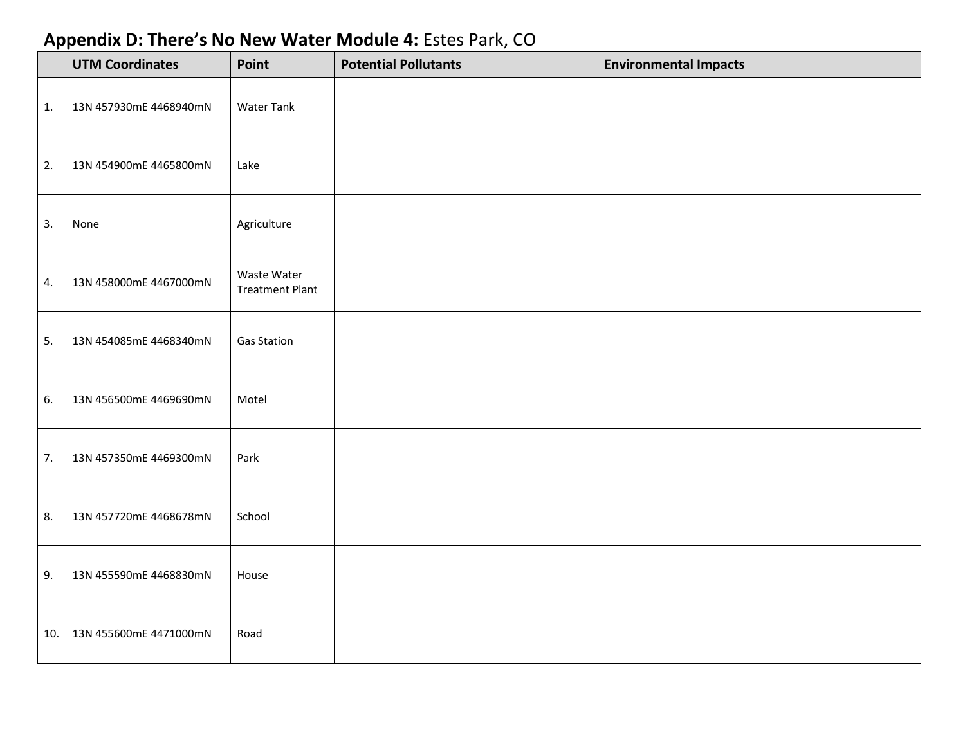## **Appendix D: There's No New Water Module 4:** Estes Park, CO

|     | <b>UTM Coordinates</b> | Point                                 | <b>Potential Pollutants</b> | <b>Environmental Impacts</b> |
|-----|------------------------|---------------------------------------|-----------------------------|------------------------------|
| 1.  | 13N 457930mE 4468940mN | <b>Water Tank</b>                     |                             |                              |
| 2.  | 13N 454900mE 4465800mN | Lake                                  |                             |                              |
| 3.  | None                   | Agriculture                           |                             |                              |
| 4.  | 13N 458000mE 4467000mN | Waste Water<br><b>Treatment Plant</b> |                             |                              |
| 5.  | 13N 454085mE 4468340mN | <b>Gas Station</b>                    |                             |                              |
| 6.  | 13N 456500mE 4469690mN | Motel                                 |                             |                              |
| 7.  | 13N 457350mE 4469300mN | Park                                  |                             |                              |
| 8.  | 13N 457720mE 4468678mN | School                                |                             |                              |
| 9.  | 13N 455590mE 4468830mN | House                                 |                             |                              |
| 10. | 13N 455600mE 4471000mN | Road                                  |                             |                              |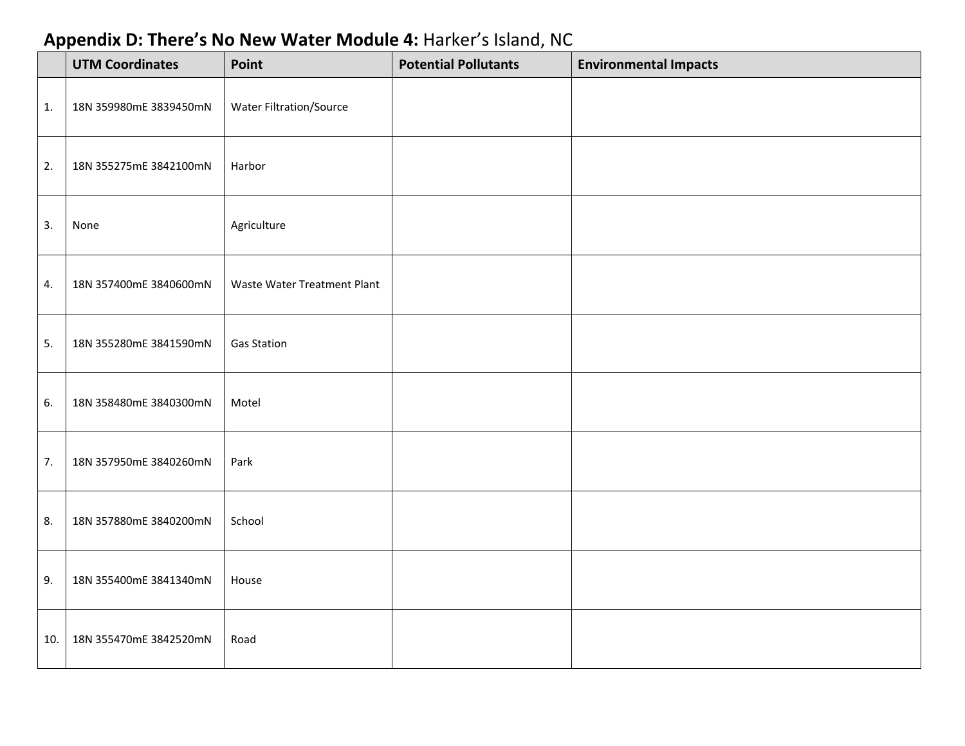## **Appendix D: There's No New Water Module 4:** Harker's Island, NC

|     | <b>UTM Coordinates</b> | Point                       | <b>Potential Pollutants</b> | <b>Environmental Impacts</b> |
|-----|------------------------|-----------------------------|-----------------------------|------------------------------|
| 1.  | 18N 359980mE 3839450mN | Water Filtration/Source     |                             |                              |
| 2.  | 18N 355275mE 3842100mN | Harbor                      |                             |                              |
| 3.  | None                   | Agriculture                 |                             |                              |
| 4.  | 18N 357400mE 3840600mN | Waste Water Treatment Plant |                             |                              |
| 5.  | 18N 355280mE 3841590mN | <b>Gas Station</b>          |                             |                              |
| 6.  | 18N 358480mE 3840300mN | Motel                       |                             |                              |
| 7.  | 18N 357950mE 3840260mN | Park                        |                             |                              |
| 8.  | 18N 357880mE 3840200mN | School                      |                             |                              |
| 9.  | 18N 355400mE 3841340mN | House                       |                             |                              |
| 10. | 18N 355470mE 3842520mN | Road                        |                             |                              |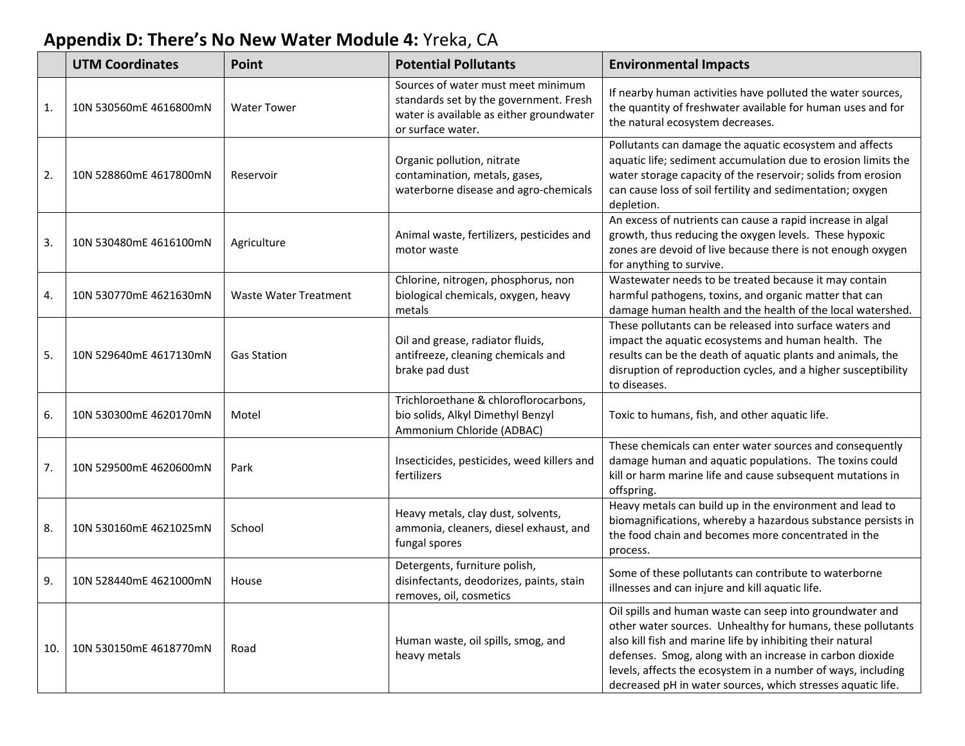## **Appendix D: There's No New Water Module 4:** Yreka, CA

|     | <b>UTM Coordinates</b> | Point                        | <b>Potential Pollutants</b>                                                                                                                   | <b>Environmental Impacts</b>                                                                                                                                                                                                                                                                                                                                                     |
|-----|------------------------|------------------------------|-----------------------------------------------------------------------------------------------------------------------------------------------|----------------------------------------------------------------------------------------------------------------------------------------------------------------------------------------------------------------------------------------------------------------------------------------------------------------------------------------------------------------------------------|
| 1.  | 10N 530560mE 4616800mN | <b>Water Tower</b>           | Sources of water must meet minimum<br>standards set by the government. Fresh<br>water is available as either groundwater<br>or surface water. | If nearby human activities have polluted the water sources,<br>the quantity of freshwater available for human uses and for<br>the natural ecosystem decreases.                                                                                                                                                                                                                   |
| 2.  | 10N 528860mE 4617800mN | Reservoir                    | Organic pollution, nitrate<br>contamination, metals, gases,<br>waterborne disease and agro-chemicals                                          | Pollutants can damage the aquatic ecosystem and affects<br>aquatic life; sediment accumulation due to erosion limits the<br>water storage capacity of the reservoir; solids from erosion<br>can cause loss of soil fertility and sedimentation; oxygen<br>depletion.                                                                                                             |
| 3.  | 10N 530480mE 4616100mN | Agriculture                  | Animal waste, fertilizers, pesticides and<br>motor waste                                                                                      | An excess of nutrients can cause a rapid increase in algal<br>growth, thus reducing the oxygen levels. These hypoxic<br>zones are devoid of live because there is not enough oxygen<br>for anything to survive.                                                                                                                                                                  |
| 4.  | 10N 530770mE 4621630mN | <b>Waste Water Treatment</b> | Chlorine, nitrogen, phosphorus, non<br>biological chemicals, oxygen, heavy<br>metals                                                          | Wastewater needs to be treated because it may contain<br>harmful pathogens, toxins, and organic matter that can<br>damage human health and the health of the local watershed.                                                                                                                                                                                                    |
| 5.  | 10N 529640mE 4617130mN | <b>Gas Station</b>           | Oil and grease, radiator fluids,<br>antifreeze, cleaning chemicals and<br>brake pad dust                                                      | These pollutants can be released into surface waters and<br>impact the aquatic ecosystems and human health. The<br>results can be the death of aquatic plants and animals, the<br>disruption of reproduction cycles, and a higher susceptibility<br>to diseases.                                                                                                                 |
| 6.  | 10N 530300mE 4620170mN | Motel                        | Trichloroethane & chloroflorocarbons,<br>bio solids, Alkyl Dimethyl Benzyl<br>Ammonium Chloride (ADBAC)                                       | Toxic to humans, fish, and other aquatic life.                                                                                                                                                                                                                                                                                                                                   |
| 7.  | 10N 529500mE 4620600mN | Park                         | Insecticides, pesticides, weed killers and<br>fertilizers                                                                                     | These chemicals can enter water sources and consequently<br>damage human and aquatic populations. The toxins could<br>kill or harm marine life and cause subsequent mutations in<br>offspring.                                                                                                                                                                                   |
| 8.  | 10N 530160mE 4621025mN | School                       | Heavy metals, clay dust, solvents,<br>ammonia, cleaners, diesel exhaust, and<br>fungal spores                                                 | Heavy metals can build up in the environment and lead to<br>biomagnifications, whereby a hazardous substance persists in<br>the food chain and becomes more concentrated in the<br>process.                                                                                                                                                                                      |
| 9.  | 10N 528440mE 4621000mN | House                        | Detergents, furniture polish,<br>disinfectants, deodorizes, paints, stain<br>removes, oil, cosmetics                                          | Some of these pollutants can contribute to waterborne<br>illnesses and can injure and kill aquatic life.                                                                                                                                                                                                                                                                         |
| 10. | 10N 530150mE 4618770mN | Road                         | Human waste, oil spills, smog, and<br>heavy metals                                                                                            | Oil spills and human waste can seep into groundwater and<br>other water sources. Unhealthy for humans, these pollutants<br>also kill fish and marine life by inhibiting their natural<br>defenses. Smog, along with an increase in carbon dioxide<br>levels, affects the ecosystem in a number of ways, including<br>decreased pH in water sources, which stresses aquatic life. |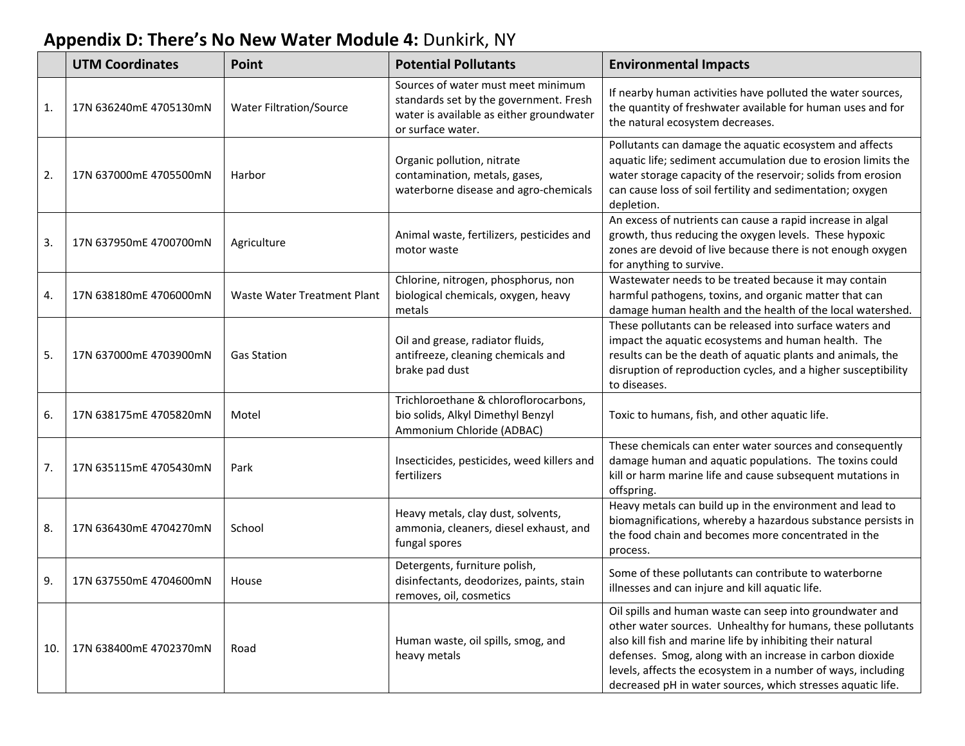## **Appendix D: There's No New Water Module 4:** Dunkirk, NY

|     | <b>UTM Coordinates</b> | Point                          | <b>Potential Pollutants</b>                                                                                                                   | <b>Environmental Impacts</b>                                                                                                                                                                                                                                                                                                                                                     |
|-----|------------------------|--------------------------------|-----------------------------------------------------------------------------------------------------------------------------------------------|----------------------------------------------------------------------------------------------------------------------------------------------------------------------------------------------------------------------------------------------------------------------------------------------------------------------------------------------------------------------------------|
| 1.  | 17N 636240mE 4705130mN | <b>Water Filtration/Source</b> | Sources of water must meet minimum<br>standards set by the government. Fresh<br>water is available as either groundwater<br>or surface water. | If nearby human activities have polluted the water sources,<br>the quantity of freshwater available for human uses and for<br>the natural ecosystem decreases.                                                                                                                                                                                                                   |
| 2.  | 17N 637000mE 4705500mN | Harbor                         | Organic pollution, nitrate<br>contamination, metals, gases,<br>waterborne disease and agro-chemicals                                          | Pollutants can damage the aquatic ecosystem and affects<br>aquatic life; sediment accumulation due to erosion limits the<br>water storage capacity of the reservoir; solids from erosion<br>can cause loss of soil fertility and sedimentation; oxygen<br>depletion.                                                                                                             |
| 3.  | 17N 637950mE 4700700mN | Agriculture                    | Animal waste, fertilizers, pesticides and<br>motor waste                                                                                      | An excess of nutrients can cause a rapid increase in algal<br>growth, thus reducing the oxygen levels. These hypoxic<br>zones are devoid of live because there is not enough oxygen<br>for anything to survive.                                                                                                                                                                  |
| 4.  | 17N 638180mE 4706000mN | Waste Water Treatment Plant    | Chlorine, nitrogen, phosphorus, non<br>biological chemicals, oxygen, heavy<br>metals                                                          | Wastewater needs to be treated because it may contain<br>harmful pathogens, toxins, and organic matter that can<br>damage human health and the health of the local watershed.                                                                                                                                                                                                    |
| 5.  | 17N 637000mE 4703900mN | <b>Gas Station</b>             | Oil and grease, radiator fluids,<br>antifreeze, cleaning chemicals and<br>brake pad dust                                                      | These pollutants can be released into surface waters and<br>impact the aquatic ecosystems and human health. The<br>results can be the death of aquatic plants and animals, the<br>disruption of reproduction cycles, and a higher susceptibility<br>to diseases.                                                                                                                 |
| 6.  | 17N 638175mE 4705820mN | Motel                          | Trichloroethane & chloroflorocarbons,<br>bio solids, Alkyl Dimethyl Benzyl<br>Ammonium Chloride (ADBAC)                                       | Toxic to humans, fish, and other aquatic life.                                                                                                                                                                                                                                                                                                                                   |
| 7.  | 17N 635115mE 4705430mN | Park                           | Insecticides, pesticides, weed killers and<br>fertilizers                                                                                     | These chemicals can enter water sources and consequently<br>damage human and aquatic populations. The toxins could<br>kill or harm marine life and cause subsequent mutations in<br>offspring.                                                                                                                                                                                   |
| 8.  | 17N 636430mE 4704270mN | School                         | Heavy metals, clay dust, solvents,<br>ammonia, cleaners, diesel exhaust, and<br>fungal spores                                                 | Heavy metals can build up in the environment and lead to<br>biomagnifications, whereby a hazardous substance persists in<br>the food chain and becomes more concentrated in the<br>process.                                                                                                                                                                                      |
| 9.  | 17N 637550mE 4704600mN | House                          | Detergents, furniture polish,<br>disinfectants, deodorizes, paints, stain<br>removes, oil, cosmetics                                          | Some of these pollutants can contribute to waterborne<br>illnesses and can injure and kill aquatic life.                                                                                                                                                                                                                                                                         |
| 10. | 17N 638400mE 4702370mN | Road                           | Human waste, oil spills, smog, and<br>heavy metals                                                                                            | Oil spills and human waste can seep into groundwater and<br>other water sources. Unhealthy for humans, these pollutants<br>also kill fish and marine life by inhibiting their natural<br>defenses. Smog, along with an increase in carbon dioxide<br>levels, affects the ecosystem in a number of ways, including<br>decreased pH in water sources, which stresses aquatic life. |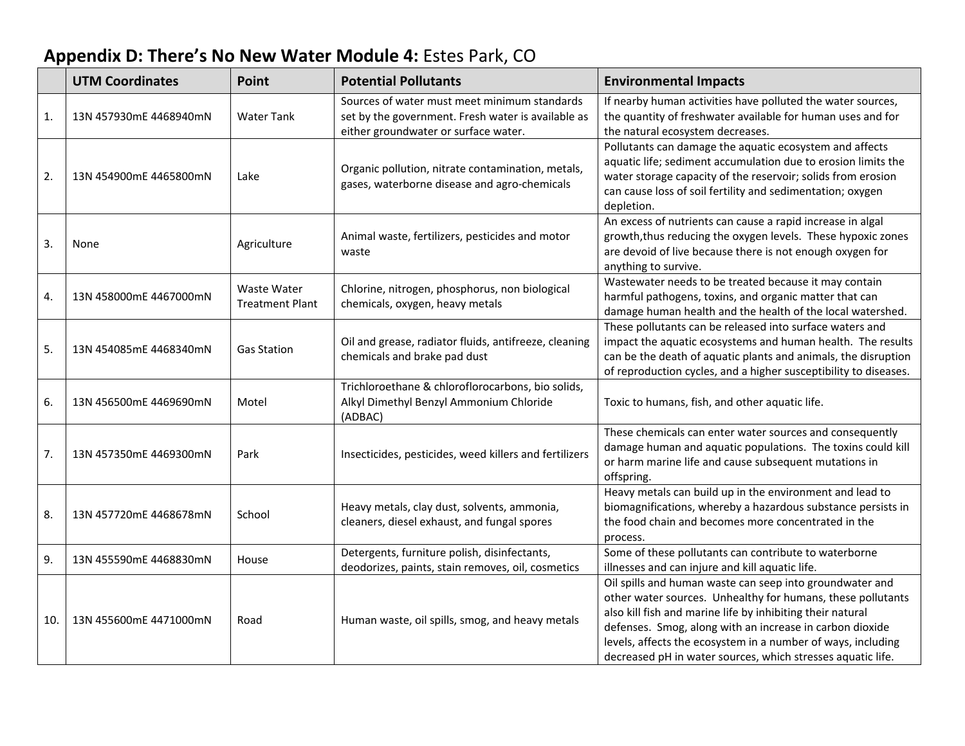# **Appendix D: There's No New Water Module 4:** Estes Park, CO

|                | <b>UTM Coordinates</b> | Point                                 | <b>Potential Pollutants</b>                                                                                                                | <b>Environmental Impacts</b>                                                                                                                                                                                                                                                                                                                                                     |
|----------------|------------------------|---------------------------------------|--------------------------------------------------------------------------------------------------------------------------------------------|----------------------------------------------------------------------------------------------------------------------------------------------------------------------------------------------------------------------------------------------------------------------------------------------------------------------------------------------------------------------------------|
| $\mathbf{1}$ . | 13N 457930mE 4468940mN | <b>Water Tank</b>                     | Sources of water must meet minimum standards<br>set by the government. Fresh water is available as<br>either groundwater or surface water. | If nearby human activities have polluted the water sources,<br>the quantity of freshwater available for human uses and for<br>the natural ecosystem decreases.                                                                                                                                                                                                                   |
| 2.             | 13N 454900mE 4465800mN | Lake                                  | Organic pollution, nitrate contamination, metals,<br>gases, waterborne disease and agro-chemicals                                          | Pollutants can damage the aquatic ecosystem and affects<br>aquatic life; sediment accumulation due to erosion limits the<br>water storage capacity of the reservoir; solids from erosion<br>can cause loss of soil fertility and sedimentation; oxygen<br>depletion.                                                                                                             |
| 3.             | None                   | Agriculture                           | Animal waste, fertilizers, pesticides and motor<br>waste                                                                                   | An excess of nutrients can cause a rapid increase in algal<br>growth, thus reducing the oxygen levels. These hypoxic zones<br>are devoid of live because there is not enough oxygen for<br>anything to survive.                                                                                                                                                                  |
| 4.             | 13N 458000mE 4467000mN | Waste Water<br><b>Treatment Plant</b> | Chlorine, nitrogen, phosphorus, non biological<br>chemicals, oxygen, heavy metals                                                          | Wastewater needs to be treated because it may contain<br>harmful pathogens, toxins, and organic matter that can<br>damage human health and the health of the local watershed.                                                                                                                                                                                                    |
| 5.             | 13N 454085mE 4468340mN | <b>Gas Station</b>                    | Oil and grease, radiator fluids, antifreeze, cleaning<br>chemicals and brake pad dust                                                      | These pollutants can be released into surface waters and<br>impact the aquatic ecosystems and human health. The results<br>can be the death of aquatic plants and animals, the disruption<br>of reproduction cycles, and a higher susceptibility to diseases.                                                                                                                    |
| 6.             | 13N 456500mE 4469690mN | Motel                                 | Trichloroethane & chloroflorocarbons, bio solids,<br>Alkyl Dimethyl Benzyl Ammonium Chloride<br>(ADBAC)                                    | Toxic to humans, fish, and other aquatic life.                                                                                                                                                                                                                                                                                                                                   |
| 7.             | 13N 457350mE 4469300mN | Park                                  | Insecticides, pesticides, weed killers and fertilizers                                                                                     | These chemicals can enter water sources and consequently<br>damage human and aquatic populations. The toxins could kill<br>or harm marine life and cause subsequent mutations in<br>offspring.                                                                                                                                                                                   |
| 8.             | 13N 457720mE 4468678mN | School                                | Heavy metals, clay dust, solvents, ammonia,<br>cleaners, diesel exhaust, and fungal spores                                                 | Heavy metals can build up in the environment and lead to<br>biomagnifications, whereby a hazardous substance persists in<br>the food chain and becomes more concentrated in the<br>process.                                                                                                                                                                                      |
| 9.             | 13N 455590mE 4468830mN | House                                 | Detergents, furniture polish, disinfectants,<br>deodorizes, paints, stain removes, oil, cosmetics                                          | Some of these pollutants can contribute to waterborne<br>illnesses and can injure and kill aquatic life.                                                                                                                                                                                                                                                                         |
| 10.            | 13N 455600mE 4471000mN | Road                                  | Human waste, oil spills, smog, and heavy metals                                                                                            | Oil spills and human waste can seep into groundwater and<br>other water sources. Unhealthy for humans, these pollutants<br>also kill fish and marine life by inhibiting their natural<br>defenses. Smog, along with an increase in carbon dioxide<br>levels, affects the ecosystem in a number of ways, including<br>decreased pH in water sources, which stresses aquatic life. |